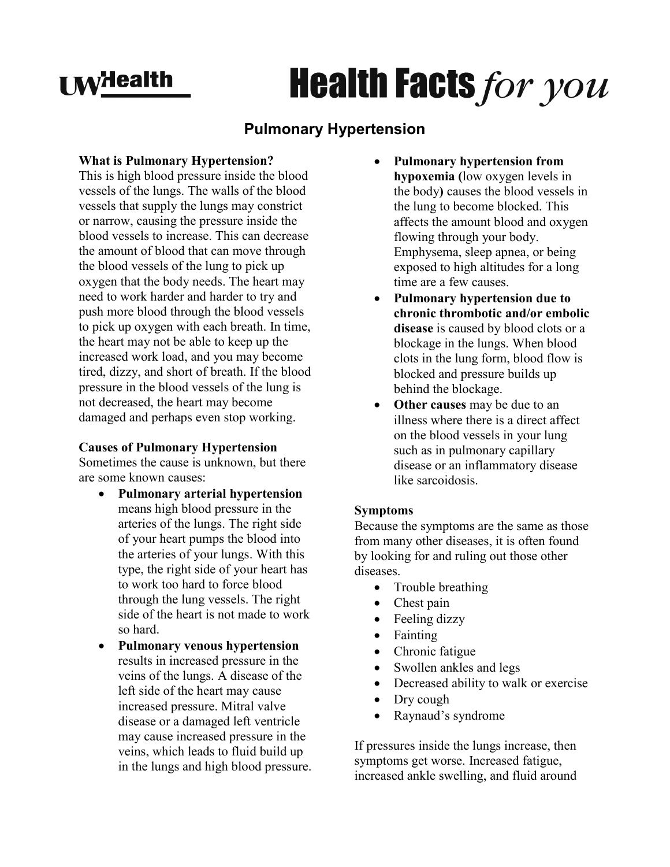## **I MyHealth**

# **Health Facts for you**

### **Pulmonary Hypertension**

#### **What is Pulmonary Hypertension?**

This is high blood pressure inside the blood vessels of the lungs. The walls of the blood vessels that supply the lungs may constrict or narrow, causing the pressure inside the blood vessels to increase. This can decrease the amount of blood that can move through the blood vessels of the lung to pick up oxygen that the body needs. The heart may need to work harder and harder to try and push more blood through the blood vessels to pick up oxygen with each breath. In time, the heart may not be able to keep up the increased work load, and you may become tired, dizzy, and short of breath. If the blood pressure in the blood vessels of the lung is not decreased, the heart may become damaged and perhaps even stop working.

#### **Causes of Pulmonary Hypertension**

Sometimes the cause is unknown, but there are some known causes:

- **Pulmonary arterial hypertension** means high blood pressure in the arteries of the lungs. The right side of your heart pumps the blood into the arteries of your lungs. With this type, the right side of your heart has to work too hard to force blood through the lung vessels. The right side of the heart is not made to work so hard.
- **Pulmonary venous hypertension** results in increased pressure in the veins of the lungs. A disease of the left side of the heart may cause increased pressure. Mitral valve disease or a damaged left ventricle may cause increased pressure in the veins, which leads to fluid build up in the lungs and high blood pressure.
- **Pulmonary hypertension from hypoxemia (**low oxygen levels in the body**)** causes the blood vessels in the lung to become blocked. This affects the amount blood and oxygen flowing through your body. Emphysema, sleep apnea, or being exposed to high altitudes for a long time are a few causes.
- **Pulmonary hypertension due to chronic thrombotic and/or embolic disease** is caused by blood clots or a blockage in the lungs. When blood clots in the lung form, blood flow is blocked and pressure builds up behind the blockage.
- **Other causes** may be due to an illness where there is a direct affect on the blood vessels in your lung such as in pulmonary capillary disease or an inflammatory disease like sarcoidosis.

#### **Symptoms**

Because the symptoms are the same as those from many other diseases, it is often found by looking for and ruling out those other diseases.

- Trouble breathing
- Chest pain
- Feeling dizzy
- Fainting
- Chronic fatigue
- Swollen ankles and legs
- Decreased ability to walk or exercise
- Dry cough
- Raynaud's syndrome

If pressures inside the lungs increase, then symptoms get worse. Increased fatigue, increased ankle swelling, and fluid around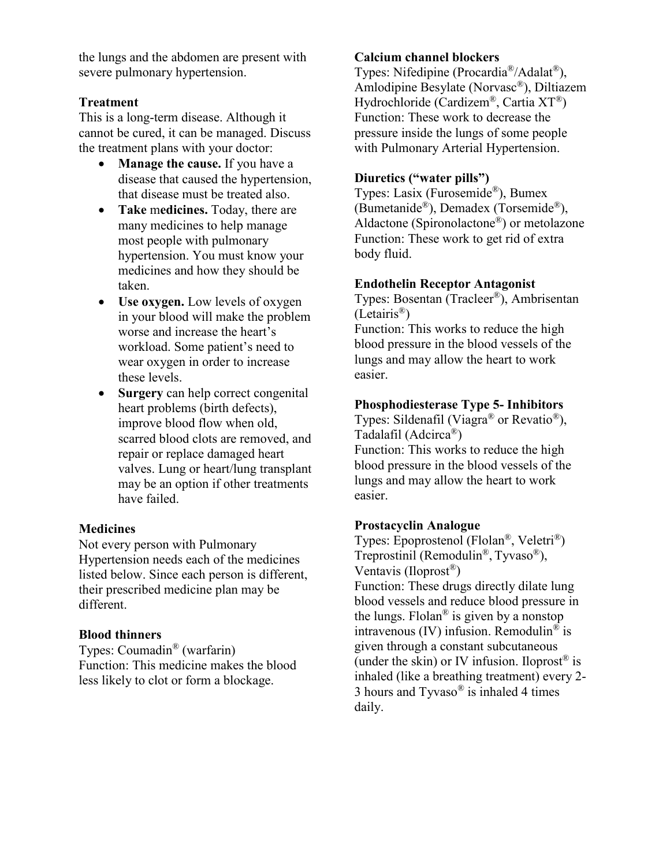the lungs and the abdomen are present with severe pulmonary hypertension.

#### **Treatment**

This is a long-term disease. Although it cannot be cured, it can be managed. Discuss the treatment plans with your doctor:

- **Manage the cause.** If you have a disease that caused the hypertension, that disease must be treated also.
- **Take medicines.** Today, there are many medicines to help manage most people with pulmonary hypertension. You must know your medicines and how they should be taken.
- **Use oxygen.** Low levels of oxygen in your blood will make the problem worse and increase the heart's workload. Some patient's need to wear oxygen in order to increase these levels.
- **Surgery** can help correct congenital heart problems (birth defects), improve blood flow when old, scarred blood clots are removed, and repair or replace damaged heart valves. Lung or heart/lung transplant may be an option if other treatments have failed.

#### **Medicines**

Not every person with Pulmonary Hypertension needs each of the medicines listed below. Since each person is different, their prescribed medicine plan may be different.

#### **Blood thinners**

Types: Coumadin® (warfarin) Function: This medicine makes the blood less likely to clot or form a blockage.

#### **Calcium channel blockers**

Types: Nifedipine (Procardia®/Adalat®), Amlodipine Besylate (Norvasc®), Diltiazem Hydrochloride (Cardizem®, Cartia XT®) Function: These work to decrease the pressure inside the lungs of some people with Pulmonary Arterial Hypertension.

#### **Diuretics ("water pills")**

Types: Lasix (Furosemide®), Bumex (Bumetanide®), Demadex (Torsemide®), Aldactone (Spironolactone®) or metolazone Function: These work to get rid of extra body fluid.

#### **Endothelin Receptor Antagonist**

Types: Bosentan (Tracleer®), Ambrisentan (Letairis®)

Function: This works to reduce the high blood pressure in the blood vessels of the lungs and may allow the heart to work easier.

#### **Phosphodiesterase Type 5- Inhibitors**

Types: Sildenafil (Viagra<sup>®</sup> or Revatio<sup>®</sup>), Tadalafil (Adcirca®) Function: This works to reduce the high blood pressure in the blood vessels of the lungs and may allow the heart to work easier.

#### **Prostacyclin Analogue**

Types: Epoprostenol (Flolan®, Veletri®) Treprostinil (Remodulin®, Tyvaso®), Ventavis (Iloprost®) Function: These drugs directly dilate lung blood vessels and reduce blood pressure in the lungs. Flolan<sup>®</sup> is given by a nonstop intravenous (IV) infusion. Remodulin<sup>®</sup> is given through a constant subcutaneous (under the skin) or IV infusion. Iloprost<sup>®</sup> is inhaled (like a breathing treatment) every 2- 3 hours and Tyvaso® is inhaled 4 times daily.